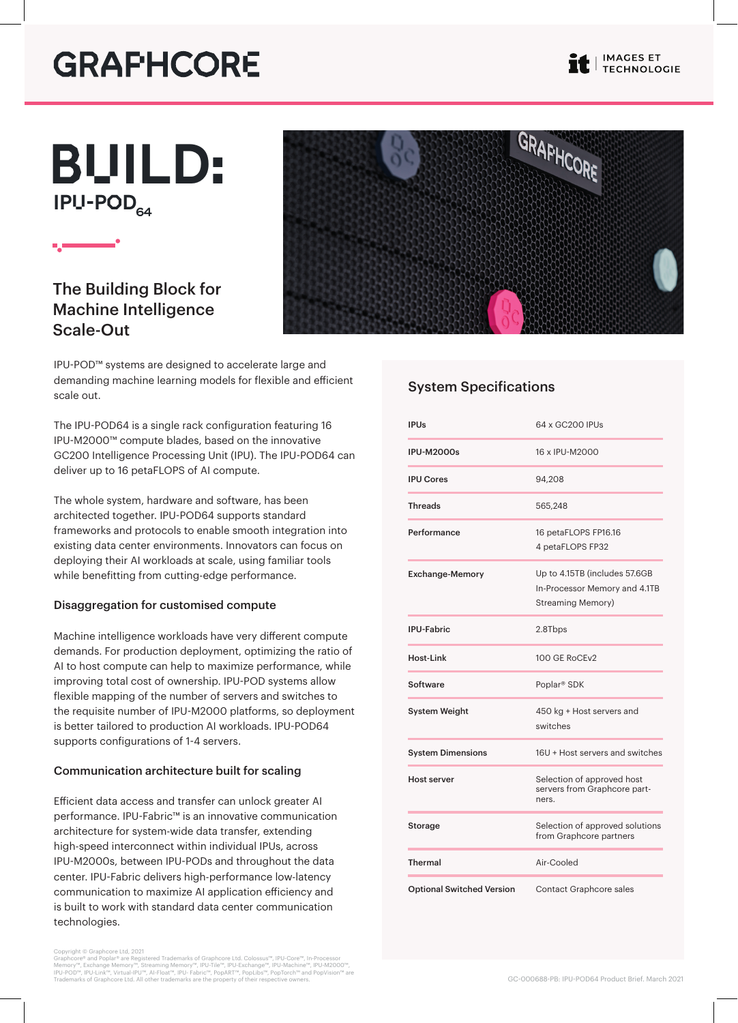## **GRAFHCORE**

IPU-POD<sub>64</sub> BUILD:

## The Building Block for Machine Intelligence Scale-Out



IPU-POD™ systems are designed to accelerate large and demanding machine learning models for flexible and efficient scale out.

The IPU-POD64 is a single rack configuration featuring 16 IPU-M2000™ compute blades, based on the innovative GC200 Intelligence Processing Unit (IPU). The IPU-POD64 can deliver up to 16 petaFLOPS of AI compute.

The whole system, hardware and software, has been architected together. IPU-POD64 supports standard frameworks and protocols to enable smooth integration into existing data center environments. Innovators can focus on deploying their AI workloads at scale, using familiar tools while benefitting from cutting-edge performance.

#### Disaggregation for customised compute

Machine intelligence workloads have very different compute demands. For production deployment, optimizing the ratio of AI to host compute can help to maximize performance, while improving total cost of ownership. IPU-POD systems allow flexible mapping of the number of servers and switches to the requisite number of IPU-M2000 platforms, so deployment is better tailored to production AI workloads. IPU-POD64 supports configurations of 1-4 servers.

#### Communication architecture built for scaling

Efficient data access and transfer can unlock greater AI performance. IPU-Fabric™ is an innovative communication architecture for system-wide data transfer, extending high-speed interconnect within individual IPUs, across IPU-M2000s, between IPU-PODs and throughout the data center. IPU-Fabric delivers high-performance low-latency communication to maximize AI application efficiency and is built to work with standard data center communication technologies.

Copyright © Graphcore Ltd, 2021<br>Graphcore® and Poplar® are Registered Trademarks of Graphcore Ltd. Colossus™, IPU-Core™, In-Processor<br>Memory™, Exchange Memory™, Streaming Memory™, IPU-Tile™, IPU-Exchange™, IPU-Machine™, IP

### System Specifications

| <b>IPUs</b>                      | 64 x GC200 IPUs                                                                     |
|----------------------------------|-------------------------------------------------------------------------------------|
| <b>IPU-M2000s</b>                | 16 x IPU-M2000                                                                      |
| <b>IPU Cores</b>                 | 94,208                                                                              |
| <b>Threads</b>                   | 565,248                                                                             |
| Performance                      | 16 petaFLOPS FP16.16<br>4 petaFLOPS FP32                                            |
| <b>Exchange-Memory</b>           | Up to 4.15TB (includes 57.6GB<br>In-Processor Memory and 4.1TB<br>Streaming Memory) |
| <b>IPU-Fabric</b>                | 2.8Tbps                                                                             |
| Host-Link                        | 100 GE RoCEv2                                                                       |
| Software                         | Poplar <sup>®</sup> SDK                                                             |
| <b>System Weight</b>             | 450 kg + Host servers and<br>switches                                               |
| <b>System Dimensions</b>         | 16U + Host servers and switches                                                     |
| <b>Host server</b>               | Selection of approved host<br>servers from Graphcore part-<br>ners.                 |
| Storage                          | Selection of approved solutions<br>from Graphcore partners                          |
| <b>Thermal</b>                   | Air-Cooled                                                                          |
| <b>Optional Switched Version</b> | <b>Contact Graphcore sales</b>                                                      |